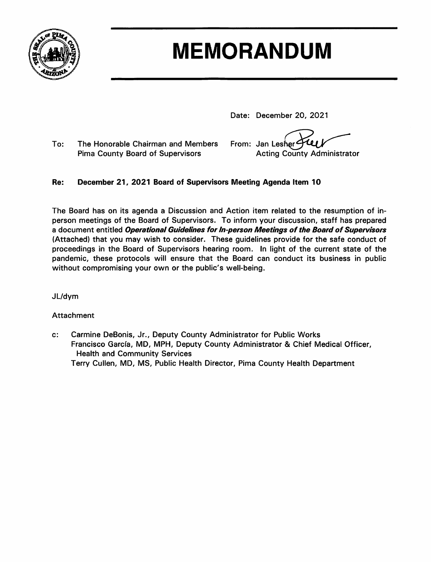

# **MEMORANDUM**

Date: December 20, 2021

To: The Honorable Chairman and Members **Pima County Board of Supervisors** 

W From: Jan Lesher<sup>2</sup> **Acting County Administrator** 

#### Re: December 21, 2021 Board of Supervisors Meeting Agenda Item 10

The Board has on its agenda a Discussion and Action item related to the resumption of inperson meetings of the Board of Supervisors. To inform your discussion, staff has prepared a document entitled Operational Guidelines for In-person Meetings of the Board of Supervisors (Attached) that you may wish to consider. These guidelines provide for the safe conduct of proceedings in the Board of Supervisors hearing room. In light of the current state of the pandemic, these protocols will ensure that the Board can conduct its business in public without compromising your own or the public's well-being.

JL/dym

# **Attachment**

Carmine DeBonis, Jr., Deputy County Administrator for Public Works  $c:$ Francisco García, MD, MPH, Deputy County Administrator & Chief Medical Officer, **Health and Community Services** Terry Cullen, MD, MS, Public Health Director, Pima County Health Department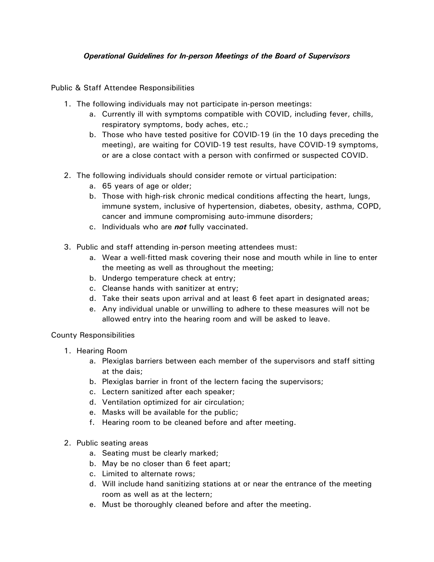## *Operational Guidelines for In-person Meetings of the Board of Supervisors*

Public & Staff Attendee Responsibilities

- 1. The following individuals may not participate in-person meetings:
	- a. Currently ill with symptoms compatible with COVID, including fever, chills, respiratory symptoms, body aches, etc.;
	- b. Those who have tested positive for COVID-19 (in the 10 days preceding the meeting), are waiting for COVID-19 test results, have COVID-19 symptoms, or are a close contact with a person with confirmed or suspected COVID.
- 2. The following individuals should consider remote or virtual participation:
	- a. 65 years of age or older;
	- b. Those with high-risk chronic medical conditions affecting the heart, lungs, immune system, inclusive of hypertension, diabetes, obesity, asthma, COPD, cancer and immune compromising auto-immune disorders;
	- c. Individuals who are *not* fully vaccinated.
- 3. Public and staff attending in-person meeting attendees must:
	- a. Wear a well-fitted mask covering their nose and mouth while in line to enter the meeting as well as throughout the meeting;
	- b. Undergo temperature check at entry;
	- c. Cleanse hands with sanitizer at entry;
	- d. Take their seats upon arrival and at least 6 feet apart in designated areas;
	- e. Any individual unable or unwilling to adhere to these measures will not be allowed entry into the hearing room and will be asked to leave.

## County Responsibilities

- 1. Hearing Room
	- a. Plexiglas barriers between each member of the supervisors and staff sitting at the dais;
	- b. Plexiglas barrier in front of the lectern facing the supervisors;
	- c. Lectern sanitized after each speaker;
	- d. Ventilation optimized for air circulation;
	- e. Masks will be available for the public;
	- f. Hearing room to be cleaned before and after meeting.
- 2. Public seating areas
	- a. Seating must be clearly marked;
	- b. May be no closer than 6 feet apart;
	- c. Limited to alternate rows;
	- d. Will include hand sanitizing stations at or near the entrance of the meeting room as well as at the lectern;
	- e. Must be thoroughly cleaned before and after the meeting.